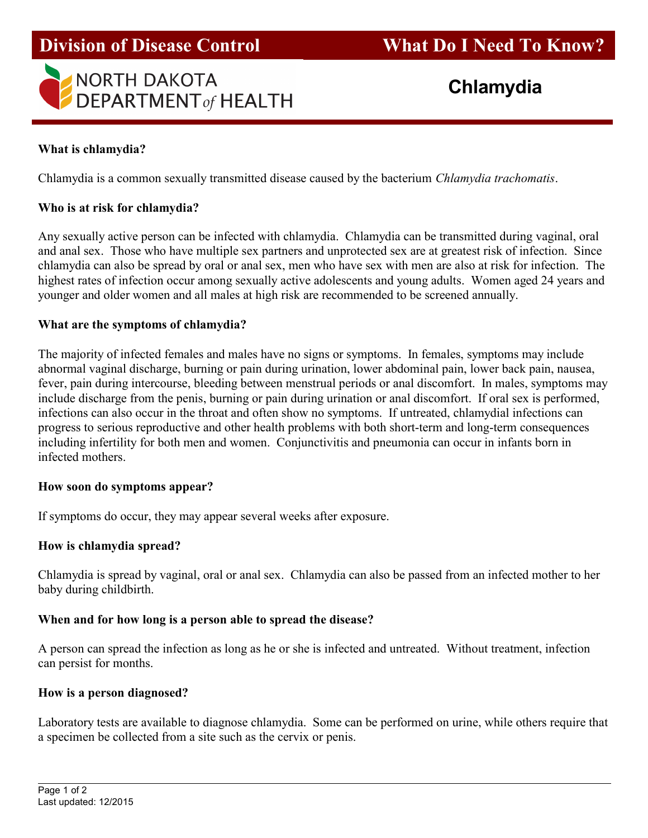# NORTH DAKOTA<br>DEPARTMENT of HEALTH **Chlamydia**

## What is chlamydia?

Chlamydia is a common sexually transmitted disease caused by the bacterium Chlamydia trachomatis.

## Who is at risk for chlamydia?

Any sexually active person can be infected with chlamydia. Chlamydia can be transmitted during vaginal, oral and anal sex. Those who have multiple sex partners and unprotected sex are at greatest risk of infection. Since chlamydia can also be spread by oral or anal sex, men who have sex with men are also at risk for infection. The highest rates of infection occur among sexually active adolescents and young adults. Women aged 24 years and younger and older women and all males at high risk are recommended to be screened annually.

## What are the symptoms of chlamydia?

The majority of infected females and males have no signs or symptoms. In females, symptoms may include abnormal vaginal discharge, burning or pain during urination, lower abdominal pain, lower back pain, nausea, fever, pain during intercourse, bleeding between menstrual periods or anal discomfort. In males, symptoms may include discharge from the penis, burning or pain during urination or anal discomfort. If oral sex is performed, infections can also occur in the throat and often show no symptoms. If untreated, chlamydial infections can progress to serious reproductive and other health problems with both short-term and long-term consequences including infertility for both men and women. Conjunctivitis and pneumonia can occur in infants born in infected mothers.

## How soon do symptoms appear?

If symptoms do occur, they may appear several weeks after exposure.

## How is chlamydia spread?

Chlamydia is spread by vaginal, oral or anal sex. Chlamydia can also be passed from an infected mother to her baby during childbirth.

## When and for how long is a person able to spread the disease?

A person can spread the infection as long as he or she is infected and untreated. Without treatment, infection can persist for months.

## How is a person diagnosed?

Laboratory tests are available to diagnose chlamydia. Some can be performed on urine, while others require that a specimen be collected from a site such as the cervix or penis.